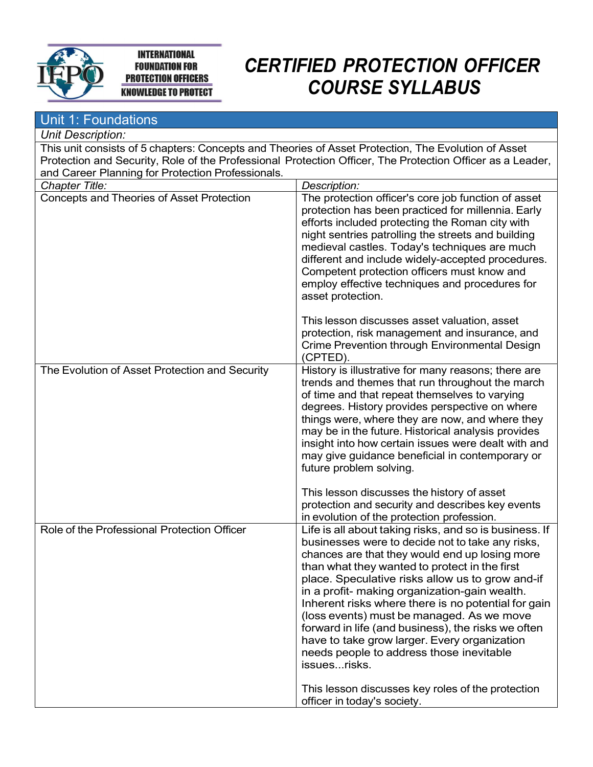

#### **INTERNATIONAL FOUNDATION FOR PROTECTION OFFICERS KNOWLEDGE TO PROTECT**

# CERTIFIED PROTECTION OFFICER COURSE SYLLABUS

| Unit 1: Foundations                               |                                                                                                                                                                                                                                                                                                                                                                                                                                                                                                                                                                                          |
|---------------------------------------------------|------------------------------------------------------------------------------------------------------------------------------------------------------------------------------------------------------------------------------------------------------------------------------------------------------------------------------------------------------------------------------------------------------------------------------------------------------------------------------------------------------------------------------------------------------------------------------------------|
| <b>Unit Description:</b>                          |                                                                                                                                                                                                                                                                                                                                                                                                                                                                                                                                                                                          |
|                                                   | This unit consists of 5 chapters: Concepts and Theories of Asset Protection, The Evolution of Asset                                                                                                                                                                                                                                                                                                                                                                                                                                                                                      |
|                                                   | Protection and Security, Role of the Professional Protection Officer, The Protection Officer as a Leader,                                                                                                                                                                                                                                                                                                                                                                                                                                                                                |
| and Career Planning for Protection Professionals. |                                                                                                                                                                                                                                                                                                                                                                                                                                                                                                                                                                                          |
| Chapter Title:                                    | Description:                                                                                                                                                                                                                                                                                                                                                                                                                                                                                                                                                                             |
| Concepts and Theories of Asset Protection         | The protection officer's core job function of asset<br>protection has been practiced for millennia. Early<br>efforts included protecting the Roman city with<br>night sentries patrolling the streets and building<br>medieval castles. Today's techniques are much<br>different and include widely-accepted procedures.<br>Competent protection officers must know and<br>employ effective techniques and procedures for<br>asset protection.                                                                                                                                           |
|                                                   | This lesson discusses asset valuation, asset<br>protection, risk management and insurance, and<br>Crime Prevention through Environmental Design<br>(CPTED).                                                                                                                                                                                                                                                                                                                                                                                                                              |
| The Evolution of Asset Protection and Security    | History is illustrative for many reasons; there are<br>trends and themes that run throughout the march<br>of time and that repeat themselves to varying<br>degrees. History provides perspective on where<br>things were, where they are now, and where they<br>may be in the future. Historical analysis provides<br>insight into how certain issues were dealt with and<br>may give guidance beneficial in contemporary or<br>future problem solving.<br>This lesson discusses the history of asset                                                                                    |
|                                                   | protection and security and describes key events<br>in evolution of the protection profession.                                                                                                                                                                                                                                                                                                                                                                                                                                                                                           |
| Role of the Professional Protection Officer       | Life is all about taking risks, and so is business. If<br>businesses were to decide not to take any risks,<br>chances are that they would end up losing more<br>than what they wanted to protect in the first<br>place. Speculative risks allow us to grow and-if<br>in a profit- making organization-gain wealth.<br>Inherent risks where there is no potential for gain<br>(loss events) must be managed. As we move<br>forward in life (and business), the risks we often<br>have to take grow larger. Every organization<br>needs people to address those inevitable<br>issuesrisks. |
|                                                   | This lesson discusses key roles of the protection<br>officer in today's society.                                                                                                                                                                                                                                                                                                                                                                                                                                                                                                         |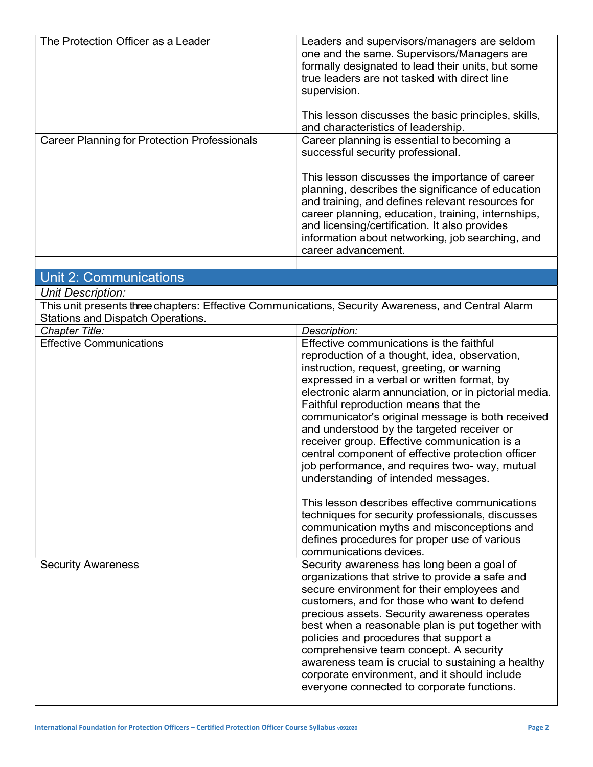| The Protection Officer as a Leader                  | Leaders and supervisors/managers are seldom<br>one and the same. Supervisors/Managers are<br>formally designated to lead their units, but some<br>true leaders are not tasked with direct line<br>supervision.<br>This lesson discusses the basic principles, skills,<br>and characteristics of leadership.                                                                                                                                                                                                                                                                                                                                                                                                                                                                                                            |
|-----------------------------------------------------|------------------------------------------------------------------------------------------------------------------------------------------------------------------------------------------------------------------------------------------------------------------------------------------------------------------------------------------------------------------------------------------------------------------------------------------------------------------------------------------------------------------------------------------------------------------------------------------------------------------------------------------------------------------------------------------------------------------------------------------------------------------------------------------------------------------------|
| <b>Career Planning for Protection Professionals</b> | Career planning is essential to becoming a<br>successful security professional.<br>This lesson discusses the importance of career<br>planning, describes the significance of education<br>and training, and defines relevant resources for<br>career planning, education, training, internships,<br>and licensing/certification. It also provides<br>information about networking, job searching, and<br>career advancement.                                                                                                                                                                                                                                                                                                                                                                                           |
| <b>Unit 2: Communications</b>                       |                                                                                                                                                                                                                                                                                                                                                                                                                                                                                                                                                                                                                                                                                                                                                                                                                        |
| Unit Description:                                   |                                                                                                                                                                                                                                                                                                                                                                                                                                                                                                                                                                                                                                                                                                                                                                                                                        |
| Stations and Dispatch Operations.                   | This unit presents three chapters: Effective Communications, Security Awareness, and Central Alarm                                                                                                                                                                                                                                                                                                                                                                                                                                                                                                                                                                                                                                                                                                                     |
| Chapter Title:                                      | Description:                                                                                                                                                                                                                                                                                                                                                                                                                                                                                                                                                                                                                                                                                                                                                                                                           |
| <b>Effective Communications</b>                     | Effective communications is the faithful<br>reproduction of a thought, idea, observation,<br>instruction, request, greeting, or warning<br>expressed in a verbal or written format, by<br>electronic alarm annunciation, or in pictorial media.<br>Faithful reproduction means that the<br>communicator's original message is both received<br>and understood by the targeted receiver or<br>receiver group. Effective communication is a<br>central component of effective protection officer<br>job performance, and requires two- way, mutual<br>understanding of intended messages.<br>This lesson describes effective communications<br>techniques for security professionals, discusses<br>communication myths and misconceptions and<br>defines procedures for proper use of various<br>communications devices. |
| <b>Security Awareness</b>                           | Security awareness has long been a goal of<br>organizations that strive to provide a safe and<br>secure environment for their employees and<br>customers, and for those who want to defend<br>precious assets. Security awareness operates<br>best when a reasonable plan is put together with<br>policies and procedures that support a<br>comprehensive team concept. A security<br>awareness team is crucial to sustaining a healthy<br>corporate environment, and it should include<br>everyone connected to corporate functions.                                                                                                                                                                                                                                                                                  |

 $\overline{\phantom{a}}$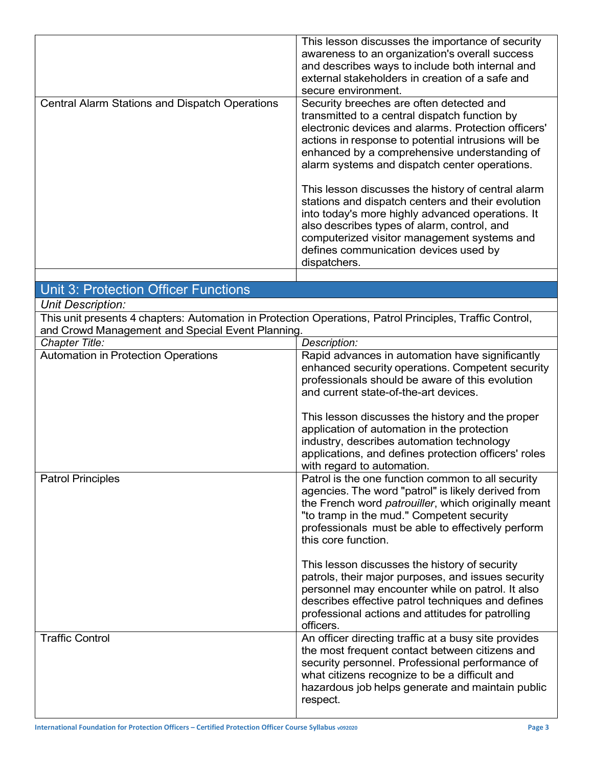| <b>Central Alarm Stations and Dispatch Operations</b> | This lesson discusses the importance of security<br>awareness to an organization's overall success<br>and describes ways to include both internal and<br>external stakeholders in creation of a safe and<br>secure environment.<br>Security breeches are often detected and<br>transmitted to a central dispatch function by<br>electronic devices and alarms. Protection officers'<br>actions in response to potential intrusions will be<br>enhanced by a comprehensive understanding of<br>alarm systems and dispatch center operations.<br>This lesson discusses the history of central alarm<br>stations and dispatch centers and their evolution<br>into today's more highly advanced operations. It<br>also describes types of alarm, control, and<br>computerized visitor management systems and<br>defines communication devices used by<br>dispatchers. |
|-------------------------------------------------------|-------------------------------------------------------------------------------------------------------------------------------------------------------------------------------------------------------------------------------------------------------------------------------------------------------------------------------------------------------------------------------------------------------------------------------------------------------------------------------------------------------------------------------------------------------------------------------------------------------------------------------------------------------------------------------------------------------------------------------------------------------------------------------------------------------------------------------------------------------------------|
|                                                       |                                                                                                                                                                                                                                                                                                                                                                                                                                                                                                                                                                                                                                                                                                                                                                                                                                                                   |
| <b>Unit 3: Protection Officer Functions</b>           |                                                                                                                                                                                                                                                                                                                                                                                                                                                                                                                                                                                                                                                                                                                                                                                                                                                                   |
| <b>Unit Description:</b>                              |                                                                                                                                                                                                                                                                                                                                                                                                                                                                                                                                                                                                                                                                                                                                                                                                                                                                   |
| and Crowd Management and Special Event Planning.      | This unit presents 4 chapters: Automation in Protection Operations, Patrol Principles, Traffic Control,                                                                                                                                                                                                                                                                                                                                                                                                                                                                                                                                                                                                                                                                                                                                                           |
| Chapter Title:                                        | Description:                                                                                                                                                                                                                                                                                                                                                                                                                                                                                                                                                                                                                                                                                                                                                                                                                                                      |
| Automation in Protection Operations                   | Rapid advances in automation have significantly<br>enhanced security operations. Competent security<br>professionals should be aware of this evolution<br>and current state-of-the-art devices.<br>This lesson discusses the history and the proper<br>application of automation in the protection                                                                                                                                                                                                                                                                                                                                                                                                                                                                                                                                                                |
|                                                       | industry, describes automation technology<br>applications, and defines protection officers' roles<br>with regard to automation.                                                                                                                                                                                                                                                                                                                                                                                                                                                                                                                                                                                                                                                                                                                                   |
| <b>Patrol Principles</b>                              | Patrol is the one function common to all security<br>agencies. The word "patrol" is likely derived from<br>the French word patrouiller, which originally meant<br>"to tramp in the mud." Competent security<br>professionals must be able to effectively perform<br>this core function.                                                                                                                                                                                                                                                                                                                                                                                                                                                                                                                                                                           |
|                                                       | This lesson discusses the history of security<br>patrols, their major purposes, and issues security<br>personnel may encounter while on patrol. It also<br>describes effective patrol techniques and defines<br>professional actions and attitudes for patrolling<br>officers.                                                                                                                                                                                                                                                                                                                                                                                                                                                                                                                                                                                    |
| <b>Traffic Control</b>                                | An officer directing traffic at a busy site provides<br>the most frequent contact between citizens and<br>security personnel. Professional performance of<br>what citizens recognize to be a difficult and<br>hazardous job helps generate and maintain public<br>respect.                                                                                                                                                                                                                                                                                                                                                                                                                                                                                                                                                                                        |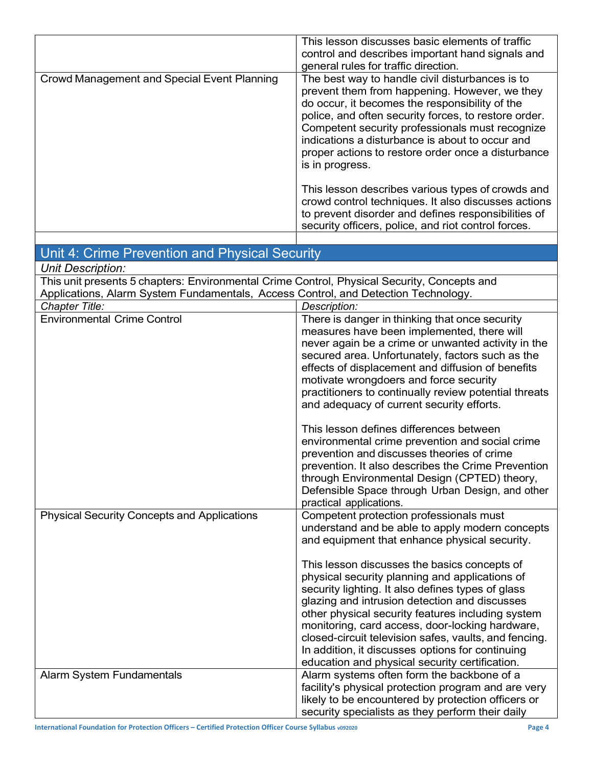|                                             | This lesson discusses basic elements of traffic<br>control and describes important hand signals and<br>general rules for traffic direction.                                                                                                                                                                                                                                                                                                                                                                                                                                                                         |
|---------------------------------------------|---------------------------------------------------------------------------------------------------------------------------------------------------------------------------------------------------------------------------------------------------------------------------------------------------------------------------------------------------------------------------------------------------------------------------------------------------------------------------------------------------------------------------------------------------------------------------------------------------------------------|
| Crowd Management and Special Event Planning | The best way to handle civil disturbances is to<br>prevent them from happening. However, we they<br>do occur, it becomes the responsibility of the<br>police, and often security forces, to restore order.<br>Competent security professionals must recognize<br>indications a disturbance is about to occur and<br>proper actions to restore order once a disturbance<br>is in progress.<br>This lesson describes various types of crowds and<br>crowd control techniques. It also discusses actions<br>to prevent disorder and defines responsibilities of<br>security officers, police, and riot control forces. |
|                                             |                                                                                                                                                                                                                                                                                                                                                                                                                                                                                                                                                                                                                     |

#### Unit 4: Crime Prevention and Physical Security

Unit Description:

This unit presents 5 chapters: Environmental Crime Control, Physical Security, Concepts and Applications, Alarm System Fundamentals, Access Control, and Detection Technology.

| Chapter Title:                                     | Description:                                                                                         |
|----------------------------------------------------|------------------------------------------------------------------------------------------------------|
| <b>Environmental Crime Control</b>                 | There is danger in thinking that once security<br>measures have been implemented, there will         |
|                                                    | never again be a crime or unwanted activity in the                                                   |
|                                                    | secured area. Unfortunately, factors such as the                                                     |
|                                                    | effects of displacement and diffusion of benefits<br>motivate wrongdoers and force security          |
|                                                    | practitioners to continually review potential threats                                                |
|                                                    | and adequacy of current security efforts.                                                            |
|                                                    | This lesson defines differences between                                                              |
|                                                    | environmental crime prevention and social crime                                                      |
|                                                    | prevention and discusses theories of crime<br>prevention. It also describes the Crime Prevention     |
|                                                    | through Environmental Design (CPTED) theory,                                                         |
|                                                    | Defensible Space through Urban Design, and other                                                     |
|                                                    | practical applications.                                                                              |
| <b>Physical Security Concepts and Applications</b> | Competent protection professionals must                                                              |
|                                                    | understand and be able to apply modern concepts<br>and equipment that enhance physical security.     |
|                                                    | This lesson discusses the basics concepts of                                                         |
|                                                    | physical security planning and applications of                                                       |
|                                                    | security lighting. It also defines types of glass                                                    |
|                                                    | glazing and intrusion detection and discusses                                                        |
|                                                    | other physical security features including system<br>monitoring, card access, door-locking hardware, |
|                                                    | closed-circuit television safes, vaults, and fencing.                                                |
|                                                    | In addition, it discusses options for continuing                                                     |
|                                                    | education and physical security certification.                                                       |
| Alarm System Fundamentals                          | Alarm systems often form the backbone of a                                                           |
|                                                    | facility's physical protection program and are very                                                  |
|                                                    | likely to be encountered by protection officers or                                                   |
|                                                    | security specialists as they perform their daily                                                     |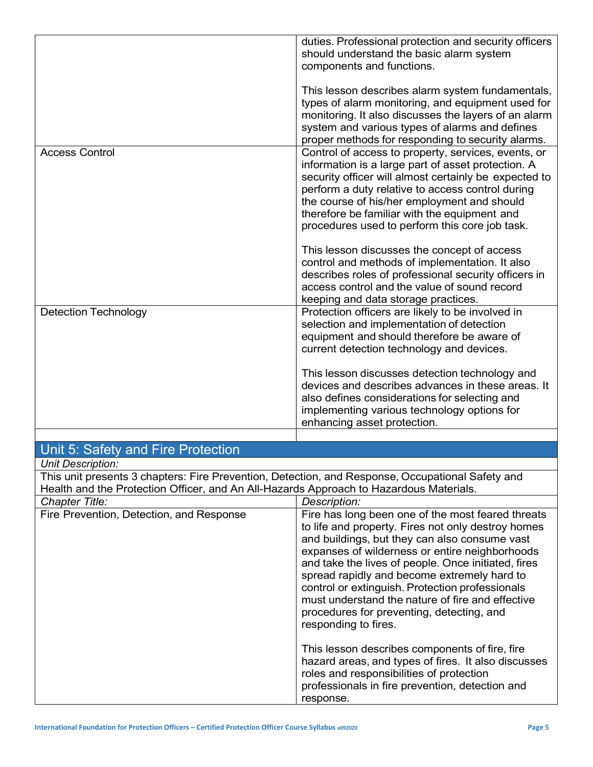|                                                                                                                    | duties. Professional protection and security officers<br>should understand the basic alarm system<br>components and functions.                                                                                                                                                                                                                                                                                                                                                               |
|--------------------------------------------------------------------------------------------------------------------|----------------------------------------------------------------------------------------------------------------------------------------------------------------------------------------------------------------------------------------------------------------------------------------------------------------------------------------------------------------------------------------------------------------------------------------------------------------------------------------------|
|                                                                                                                    | This lesson describes alarm system fundamentals,<br>types of alarm monitoring, and equipment used for<br>monitoring. It also discusses the layers of an alarm<br>system and various types of alarms and defines<br>proper methods for responding to security alarms.                                                                                                                                                                                                                         |
| <b>Access Control</b>                                                                                              | Control of access to property, services, events, or<br>information is a large part of asset protection. A<br>security officer will almost certainly be expected to<br>perform a duty relative to access control during<br>the course of his/her employment and should<br>therefore be familiar with the equipment and<br>procedures used to perform this core job task.                                                                                                                      |
|                                                                                                                    | This lesson discusses the concept of access<br>control and methods of implementation. It also<br>describes roles of professional security officers in<br>access control and the value of sound record<br>keeping and data storage practices.                                                                                                                                                                                                                                                 |
| Detection Technology                                                                                               | Protection officers are likely to be involved in<br>selection and implementation of detection<br>equipment and should therefore be aware of<br>current detection technology and devices.                                                                                                                                                                                                                                                                                                     |
|                                                                                                                    | This lesson discusses detection technology and<br>devices and describes advances in these areas. It<br>also defines considerations for selecting and<br>implementing various technology options for<br>enhancing asset protection.                                                                                                                                                                                                                                                           |
|                                                                                                                    |                                                                                                                                                                                                                                                                                                                                                                                                                                                                                              |
| Unit 5: Safety and Fire Protection                                                                                 |                                                                                                                                                                                                                                                                                                                                                                                                                                                                                              |
| <b>Unit Description:</b><br>Health and the Protection Officer, and An All-Hazards Approach to Hazardous Materials. | This unit presents 3 chapters: Fire Prevention, Detection, and Response, Occupational Safety and                                                                                                                                                                                                                                                                                                                                                                                             |
| <b>Chapter Title:</b>                                                                                              | Description:                                                                                                                                                                                                                                                                                                                                                                                                                                                                                 |
| Fire Prevention, Detection, and Response                                                                           | Fire has long been one of the most feared threats<br>to life and property. Fires not only destroy homes<br>and buildings, but they can also consume vast<br>expanses of wilderness or entire neighborhoods<br>and take the lives of people. Once initiated, fires<br>spread rapidly and become extremely hard to<br>control or extinguish. Protection professionals<br>must understand the nature of fire and effective<br>procedures for preventing, detecting, and<br>responding to fires. |
|                                                                                                                    | This lesson describes components of fire, fire<br>hazard areas, and types of fires. It also discusses<br>roles and responsibilities of protection<br>professionals in fire prevention, detection and<br>response.                                                                                                                                                                                                                                                                            |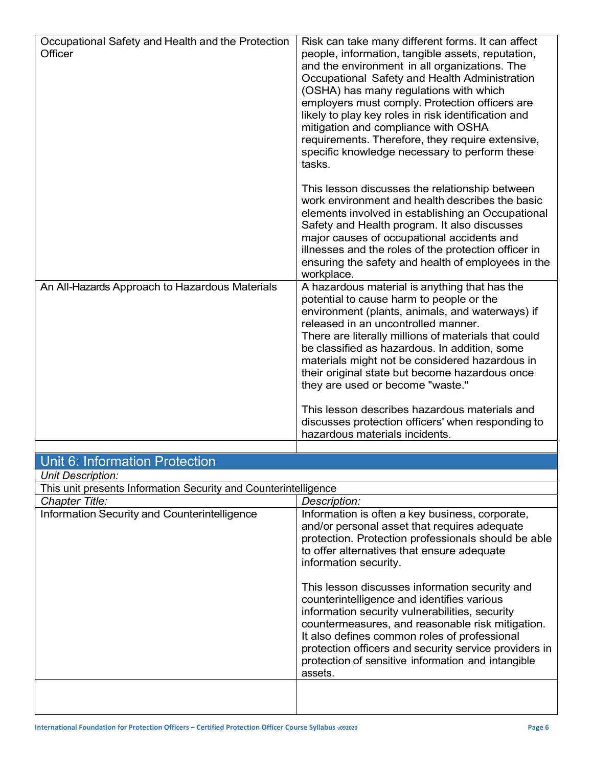| Occupational Safety and Health and the Protection<br>Officer<br>An All-Hazards Approach to Hazardous Materials | Risk can take many different forms. It can affect<br>people, information, tangible assets, reputation,<br>and the environment in all organizations. The<br>Occupational Safety and Health Administration<br>(OSHA) has many regulations with which<br>employers must comply. Protection officers are<br>likely to play key roles in risk identification and<br>mitigation and compliance with OSHA<br>requirements. Therefore, they require extensive,<br>specific knowledge necessary to perform these<br>tasks.<br>This lesson discusses the relationship between<br>work environment and health describes the basic<br>elements involved in establishing an Occupational<br>Safety and Health program. It also discusses<br>major causes of occupational accidents and<br>illnesses and the roles of the protection officer in<br>ensuring the safety and health of employees in the<br>workplace.<br>A hazardous material is anything that has the |
|----------------------------------------------------------------------------------------------------------------|--------------------------------------------------------------------------------------------------------------------------------------------------------------------------------------------------------------------------------------------------------------------------------------------------------------------------------------------------------------------------------------------------------------------------------------------------------------------------------------------------------------------------------------------------------------------------------------------------------------------------------------------------------------------------------------------------------------------------------------------------------------------------------------------------------------------------------------------------------------------------------------------------------------------------------------------------------|
|                                                                                                                | potential to cause harm to people or the<br>environment (plants, animals, and waterways) if<br>released in an uncontrolled manner.<br>There are literally millions of materials that could<br>be classified as hazardous. In addition, some<br>materials might not be considered hazardous in<br>their original state but become hazardous once<br>they are used or become "waste."<br>This lesson describes hazardous materials and                                                                                                                                                                                                                                                                                                                                                                                                                                                                                                                   |
|                                                                                                                | discusses protection officers' when responding to<br>hazardous materials incidents.                                                                                                                                                                                                                                                                                                                                                                                                                                                                                                                                                                                                                                                                                                                                                                                                                                                                    |
| Unit 6: Information Protection                                                                                 |                                                                                                                                                                                                                                                                                                                                                                                                                                                                                                                                                                                                                                                                                                                                                                                                                                                                                                                                                        |
| <b>Unit Description:</b>                                                                                       |                                                                                                                                                                                                                                                                                                                                                                                                                                                                                                                                                                                                                                                                                                                                                                                                                                                                                                                                                        |
| This unit presents Information Security and Counterintelligence                                                |                                                                                                                                                                                                                                                                                                                                                                                                                                                                                                                                                                                                                                                                                                                                                                                                                                                                                                                                                        |
| <b>Chapter Title:</b>                                                                                          | Description:                                                                                                                                                                                                                                                                                                                                                                                                                                                                                                                                                                                                                                                                                                                                                                                                                                                                                                                                           |
| Information Security and Counterintelligence                                                                   | Information is often a key business, corporate,<br>and/or personal asset that requires adequate<br>protection. Protection professionals should be able<br>to offer alternatives that ensure adequate<br>information security.<br>This lesson discusses information security and<br>counterintelligence and identifies various<br>information security vulnerabilities, security<br>countermeasures, and reasonable risk mitigation.<br>It also defines common roles of professional<br>protection officers and security service providers in<br>protection of sensitive information and intangible<br>assets.                                                                                                                                                                                                                                                                                                                                          |
|                                                                                                                |                                                                                                                                                                                                                                                                                                                                                                                                                                                                                                                                                                                                                                                                                                                                                                                                                                                                                                                                                        |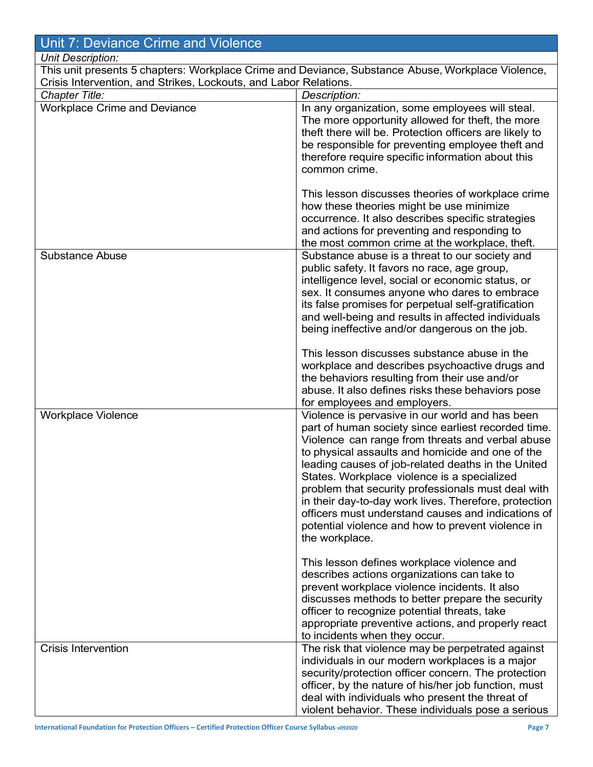## Unit 7: Deviance Crime and Violence

#### Unit Description:

This unit presents 5 chapters: Workplace Crime and Deviance, Substance Abuse, Workplace Violence, Crisis Intervention, and Strikes, Lockouts, and Labor Relations.

| Chapter Title:                      | Description:                                                                                                                                                                                                                                                                                                                                                                                                                                                                                                                                                    |  |
|-------------------------------------|-----------------------------------------------------------------------------------------------------------------------------------------------------------------------------------------------------------------------------------------------------------------------------------------------------------------------------------------------------------------------------------------------------------------------------------------------------------------------------------------------------------------------------------------------------------------|--|
| <b>Workplace Crime and Deviance</b> | In any organization, some employees will steal.<br>The more opportunity allowed for theft, the more<br>theft there will be. Protection officers are likely to<br>be responsible for preventing employee theft and<br>therefore require specific information about this<br>common crime.                                                                                                                                                                                                                                                                         |  |
|                                     | This lesson discusses theories of workplace crime<br>how these theories might be use minimize<br>occurrence. It also describes specific strategies<br>and actions for preventing and responding to<br>the most common crime at the workplace, theft.                                                                                                                                                                                                                                                                                                            |  |
| <b>Substance Abuse</b>              | Substance abuse is a threat to our society and<br>public safety. It favors no race, age group,<br>intelligence level, social or economic status, or<br>sex. It consumes anyone who dares to embrace<br>its false promises for perpetual self-gratification<br>and well-being and results in affected individuals<br>being ineffective and/or dangerous on the job.                                                                                                                                                                                              |  |
|                                     | This lesson discusses substance abuse in the<br>workplace and describes psychoactive drugs and<br>the behaviors resulting from their use and/or<br>abuse. It also defines risks these behaviors pose<br>for employees and employers.                                                                                                                                                                                                                                                                                                                            |  |
| <b>Workplace Violence</b>           | Violence is pervasive in our world and has been<br>part of human society since earliest recorded time.<br>Violence can range from threats and verbal abuse<br>to physical assaults and homicide and one of the<br>leading causes of job-related deaths in the United<br>States. Workplace violence is a specialized<br>problem that security professionals must deal with<br>in their day-to-day work lives. Therefore, protection<br>officers must understand causes and indications of<br>potential violence and how to prevent violence in<br>the workplace. |  |
|                                     | This lesson defines workplace violence and<br>describes actions organizations can take to<br>prevent workplace violence incidents. It also<br>discusses methods to better prepare the security<br>officer to recognize potential threats, take<br>appropriate preventive actions, and properly react<br>to incidents when they occur.                                                                                                                                                                                                                           |  |
| <b>Crisis Intervention</b>          | The risk that violence may be perpetrated against<br>individuals in our modern workplaces is a major<br>security/protection officer concern. The protection<br>officer, by the nature of his/her job function, must<br>deal with individuals who present the threat of<br>violent behavior. These individuals pose a serious                                                                                                                                                                                                                                    |  |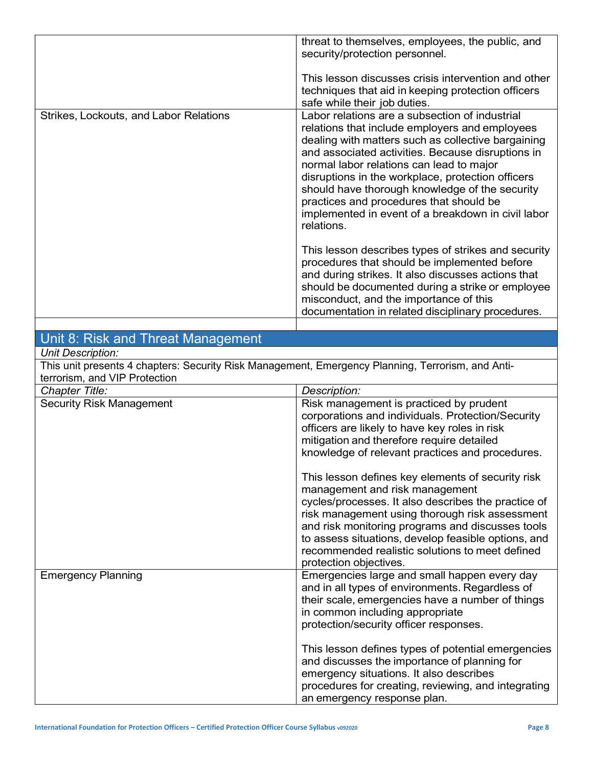|                                        | threat to themselves, employees, the public, and<br>security/protection personnel.                                                                                                                                                                                                                                                                                                                                                                                            |
|----------------------------------------|-------------------------------------------------------------------------------------------------------------------------------------------------------------------------------------------------------------------------------------------------------------------------------------------------------------------------------------------------------------------------------------------------------------------------------------------------------------------------------|
|                                        | This lesson discusses crisis intervention and other<br>techniques that aid in keeping protection officers<br>safe while their job duties.                                                                                                                                                                                                                                                                                                                                     |
| Strikes, Lockouts, and Labor Relations | Labor relations are a subsection of industrial<br>relations that include employers and employees<br>dealing with matters such as collective bargaining<br>and associated activities. Because disruptions in<br>normal labor relations can lead to major<br>disruptions in the workplace, protection officers<br>should have thorough knowledge of the security<br>practices and procedures that should be<br>implemented in event of a breakdown in civil labor<br>relations. |
|                                        | This lesson describes types of strikes and security<br>procedures that should be implemented before<br>and during strikes. It also discusses actions that<br>should be documented during a strike or employee<br>misconduct, and the importance of this<br>documentation in related disciplinary procedures.                                                                                                                                                                  |
| Unit 8: Risk and Threat Management     |                                                                                                                                                                                                                                                                                                                                                                                                                                                                               |

#### Unit Description:

This unit presents 4 chapters: Security Risk Management, Emergency Planning, Terrorism, and Antiterrorism, and VIP Protection

| Chapter Title:                  | Description:                                                                                                                                                                                                                                                                                                                                                                         |
|---------------------------------|--------------------------------------------------------------------------------------------------------------------------------------------------------------------------------------------------------------------------------------------------------------------------------------------------------------------------------------------------------------------------------------|
| <b>Security Risk Management</b> | Risk management is practiced by prudent<br>corporations and individuals. Protection/Security<br>officers are likely to have key roles in risk<br>mitigation and therefore require detailed<br>knowledge of relevant practices and procedures.                                                                                                                                        |
|                                 | This lesson defines key elements of security risk<br>management and risk management<br>cycles/processes. It also describes the practice of<br>risk management using thorough risk assessment<br>and risk monitoring programs and discusses tools<br>to assess situations, develop feasible options, and<br>recommended realistic solutions to meet defined<br>protection objectives. |
| <b>Emergency Planning</b>       | Emergencies large and small happen every day<br>and in all types of environments. Regardless of<br>their scale, emergencies have a number of things<br>in common including appropriate<br>protection/security officer responses.                                                                                                                                                     |
|                                 | This lesson defines types of potential emergencies<br>and discusses the importance of planning for<br>emergency situations. It also describes<br>procedures for creating, reviewing, and integrating<br>an emergency response plan.                                                                                                                                                  |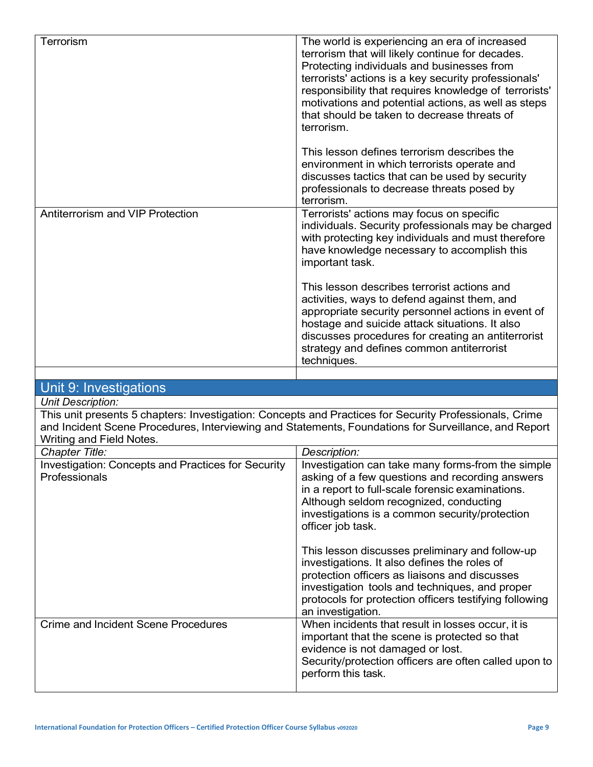| Terrorism                                                                                                                                                      | The world is experiencing an era of increased<br>terrorism that will likely continue for decades.<br>Protecting individuals and businesses from<br>terrorists' actions is a key security professionals'<br>responsibility that requires knowledge of terrorists'<br>motivations and potential actions, as well as steps<br>that should be taken to decrease threats of<br>terrorism.<br>This lesson defines terrorism describes the<br>environment in which terrorists operate and<br>discusses tactics that can be used by security<br>professionals to decrease threats posed by<br>terrorism. |
|----------------------------------------------------------------------------------------------------------------------------------------------------------------|--------------------------------------------------------------------------------------------------------------------------------------------------------------------------------------------------------------------------------------------------------------------------------------------------------------------------------------------------------------------------------------------------------------------------------------------------------------------------------------------------------------------------------------------------------------------------------------------------|
| Antiterrorism and VIP Protection                                                                                                                               | Terrorists' actions may focus on specific<br>individuals. Security professionals may be charged<br>with protecting key individuals and must therefore<br>have knowledge necessary to accomplish this<br>important task.<br>This lesson describes terrorist actions and<br>activities, ways to defend against them, and<br>appropriate security personnel actions in event of<br>hostage and suicide attack situations. It also<br>discusses procedures for creating an antiterrorist<br>strategy and defines common antiterrorist<br>techniques.                                                 |
|                                                                                                                                                                |                                                                                                                                                                                                                                                                                                                                                                                                                                                                                                                                                                                                  |
| Unit 9: Investigations                                                                                                                                         |                                                                                                                                                                                                                                                                                                                                                                                                                                                                                                                                                                                                  |
| <b>Unit Description:</b><br>This unit presents 5 chapters: Investigation: Concepts and Practices for Security Professionals, Crime<br>Writing and Field Notes. | and Incident Scene Procedures, Interviewing and Statements, Foundations for Surveillance, and Report                                                                                                                                                                                                                                                                                                                                                                                                                                                                                             |
| Chapter Title:                                                                                                                                                 | Description:                                                                                                                                                                                                                                                                                                                                                                                                                                                                                                                                                                                     |
| Investigation: Concepts and Practices for Security<br>Professionals                                                                                            | Investigation can take many forms-from the simple<br>asking of a few questions and recording answers<br>in a report to full-scale forensic examinations.<br>Although seldom recognized, conducting<br>investigations is a common security/protection<br>officer job task.<br>This lesson discusses preliminary and follow-up<br>investigations. It also defines the roles of<br>protection officers as liaisons and discusses<br>investigation tools and techniques, and proper<br>protocols for protection officers testifying following<br>an investigation.                                   |
| <b>Crime and Incident Scene Procedures</b>                                                                                                                     | When incidents that result in losses occur, it is<br>important that the scene is protected so that<br>evidence is not damaged or lost.<br>Security/protection officers are often called upon to<br>perform this task.                                                                                                                                                                                                                                                                                                                                                                            |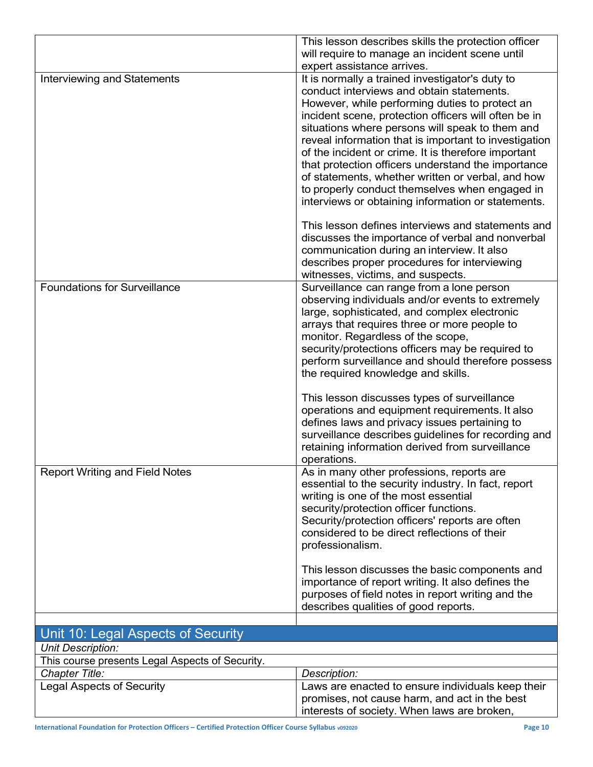|                                                 | This lesson describes skills the protection officer   |
|-------------------------------------------------|-------------------------------------------------------|
|                                                 | will require to manage an incident scene until        |
|                                                 | expert assistance arrives.                            |
| <b>Interviewing and Statements</b>              | It is normally a trained investigator's duty to       |
|                                                 | conduct interviews and obtain statements.             |
|                                                 | However, while performing duties to protect an        |
|                                                 | incident scene, protection officers will often be in  |
|                                                 | situations where persons will speak to them and       |
|                                                 | reveal information that is important to investigation |
|                                                 | of the incident or crime. It is therefore important   |
|                                                 | that protection officers understand the importance    |
|                                                 | of statements, whether written or verbal, and how     |
|                                                 | to properly conduct themselves when engaged in        |
|                                                 | interviews or obtaining information or statements.    |
|                                                 | This lesson defines interviews and statements and     |
|                                                 | discusses the importance of verbal and nonverbal      |
|                                                 | communication during an interview. It also            |
|                                                 | describes proper procedures for interviewing          |
|                                                 | witnesses, victims, and suspects.                     |
| <b>Foundations for Surveillance</b>             | Surveillance can range from a lone person             |
|                                                 | observing individuals and/or events to extremely      |
|                                                 | large, sophisticated, and complex electronic          |
|                                                 | arrays that requires three or more people to          |
|                                                 | monitor. Regardless of the scope,                     |
|                                                 | security/protections officers may be required to      |
|                                                 | perform surveillance and should therefore possess     |
|                                                 | the required knowledge and skills.                    |
|                                                 | This lesson discusses types of surveillance           |
|                                                 | operations and equipment requirements. It also        |
|                                                 | defines laws and privacy issues pertaining to         |
|                                                 | surveillance describes guidelines for recording and   |
|                                                 | retaining information derived from surveillance       |
|                                                 | operations.                                           |
| <b>Report Writing and Field Notes</b>           | As in many other professions, reports are             |
|                                                 | essential to the security industry. In fact, report   |
|                                                 | writing is one of the most essential                  |
|                                                 | security/protection officer functions.                |
|                                                 | Security/protection officers' reports are often       |
|                                                 | considered to be direct reflections of their          |
|                                                 | professionalism.                                      |
|                                                 | This lesson discusses the basic components and        |
|                                                 | importance of report writing. It also defines the     |
|                                                 | purposes of field notes in report writing and the     |
|                                                 | describes qualities of good reports.                  |
|                                                 |                                                       |
| Unit 10: Legal Aspects of Security              |                                                       |
| <b>Unit Description:</b>                        |                                                       |
| This course presents Legal Aspects of Security. |                                                       |
| Chapter Title:                                  | Description:                                          |
| <b>Legal Aspects of Security</b>                | Laws are enacted to ensure individuals keep their     |
|                                                 | promises, not cause harm, and act in the best         |
|                                                 | interests of society. When laws are broken,           |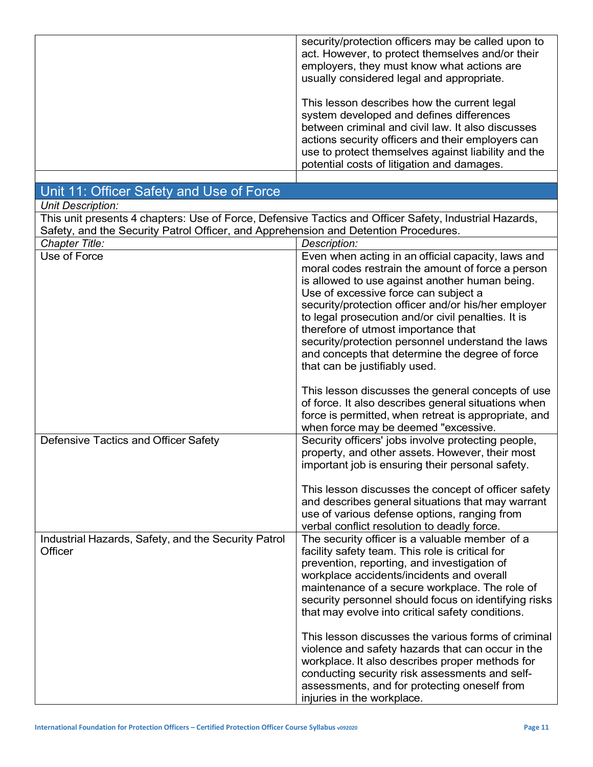| security/protection officers may be called upon to<br>act. However, to protect themselves and/or their<br>employers, they must know what actions are<br>usually considered legal and appropriate.                                                                                                      |
|--------------------------------------------------------------------------------------------------------------------------------------------------------------------------------------------------------------------------------------------------------------------------------------------------------|
| This lesson describes how the current legal<br>system developed and defines differences<br>between criminal and civil law. It also discusses<br>actions security officers and their employers can<br>use to protect themselves against liability and the<br>potential costs of litigation and damages. |
|                                                                                                                                                                                                                                                                                                        |

| Unit 11: Officer Safety and Use of Force                                                               |                                                                                                                                                                                                                                                                                                                                                                                                                                                                                                |
|--------------------------------------------------------------------------------------------------------|------------------------------------------------------------------------------------------------------------------------------------------------------------------------------------------------------------------------------------------------------------------------------------------------------------------------------------------------------------------------------------------------------------------------------------------------------------------------------------------------|
| Unit Description:                                                                                      |                                                                                                                                                                                                                                                                                                                                                                                                                                                                                                |
| This unit presents 4 chapters: Use of Force, Defensive Tactics and Officer Safety, Industrial Hazards, |                                                                                                                                                                                                                                                                                                                                                                                                                                                                                                |
| Safety, and the Security Patrol Officer, and Apprehension and Detention Procedures.                    |                                                                                                                                                                                                                                                                                                                                                                                                                                                                                                |
| Chapter Title:                                                                                         | Description:                                                                                                                                                                                                                                                                                                                                                                                                                                                                                   |
| Use of Force                                                                                           | Even when acting in an official capacity, laws and<br>moral codes restrain the amount of force a person<br>is allowed to use against another human being.<br>Use of excessive force can subject a<br>security/protection officer and/or his/her employer<br>to legal prosecution and/or civil penalties. It is<br>therefore of utmost importance that<br>security/protection personnel understand the laws<br>and concepts that determine the degree of force<br>that can be justifiably used. |
| Defensive Tactics and Officer Safety                                                                   | This lesson discusses the general concepts of use<br>of force. It also describes general situations when<br>force is permitted, when retreat is appropriate, and<br>when force may be deemed "excessive.<br>Security officers' jobs involve protecting people,                                                                                                                                                                                                                                 |
|                                                                                                        | property, and other assets. However, their most<br>important job is ensuring their personal safety.<br>This lesson discusses the concept of officer safety<br>and describes general situations that may warrant<br>use of various defense options, ranging from<br>verbal conflict resolution to deadly force.                                                                                                                                                                                 |
| Industrial Hazards, Safety, and the Security Patrol<br>Officer                                         | The security officer is a valuable member of a<br>facility safety team. This role is critical for<br>prevention, reporting, and investigation of<br>workplace accidents/incidents and overall<br>maintenance of a secure workplace. The role of<br>security personnel should focus on identifying risks<br>that may evolve into critical safety conditions.                                                                                                                                    |
|                                                                                                        | This lesson discusses the various forms of criminal<br>violence and safety hazards that can occur in the<br>workplace. It also describes proper methods for<br>conducting security risk assessments and self-<br>assessments, and for protecting oneself from<br>injuries in the workplace.                                                                                                                                                                                                    |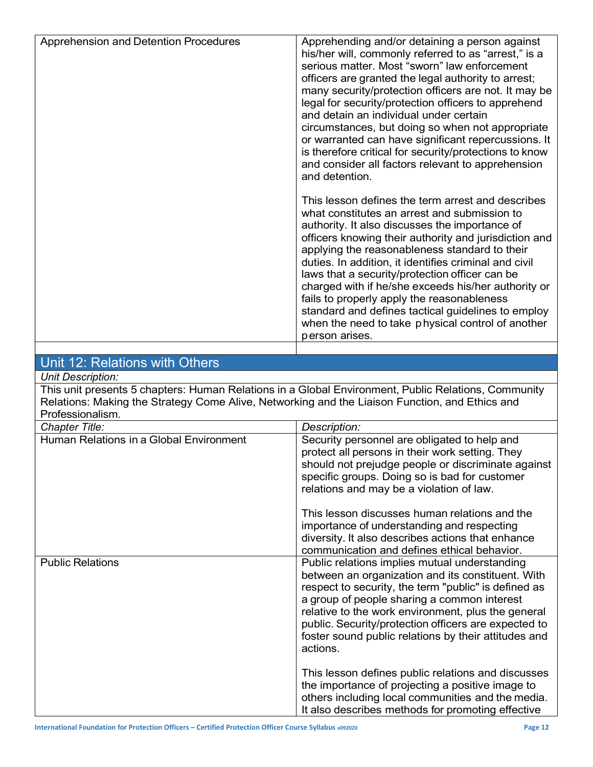| Apprehension and Detention Procedures | Apprehending and/or detaining a person against<br>his/her will, commonly referred to as "arrest," is a<br>serious matter. Most "sworn" law enforcement<br>officers are granted the legal authority to arrest;<br>many security/protection officers are not. It may be<br>legal for security/protection officers to apprehend<br>and detain an individual under certain<br>circumstances, but doing so when not appropriate<br>or warranted can have significant repercussions. It<br>is therefore critical for security/protections to know                                                                                                                                       |
|---------------------------------------|-----------------------------------------------------------------------------------------------------------------------------------------------------------------------------------------------------------------------------------------------------------------------------------------------------------------------------------------------------------------------------------------------------------------------------------------------------------------------------------------------------------------------------------------------------------------------------------------------------------------------------------------------------------------------------------|
|                                       | and consider all factors relevant to apprehension<br>and detention.<br>This lesson defines the term arrest and describes<br>what constitutes an arrest and submission to<br>authority. It also discusses the importance of<br>officers knowing their authority and jurisdiction and<br>applying the reasonableness standard to their<br>duties. In addition, it identifies criminal and civil<br>laws that a security/protection officer can be<br>charged with if he/she exceeds his/her authority or<br>fails to properly apply the reasonableness<br>standard and defines tactical guidelines to employ<br>when the need to take physical control of another<br>person arises. |
|                                       |                                                                                                                                                                                                                                                                                                                                                                                                                                                                                                                                                                                                                                                                                   |

### Unit 12: Relations with Others

Unit Description:

This unit presents 5 chapters: Human Relations in a Global Environment, Public Relations, Community Relations: Making the Strategy Come Alive, Networking and the Liaison Function, and Ethics and Professionalism.

| Chapter Title:                          | Description:                                                                                                                                                                                                                                                                                                                                                                                |
|-----------------------------------------|---------------------------------------------------------------------------------------------------------------------------------------------------------------------------------------------------------------------------------------------------------------------------------------------------------------------------------------------------------------------------------------------|
| Human Relations in a Global Environment | Security personnel are obligated to help and<br>protect all persons in their work setting. They<br>should not prejudge people or discriminate against<br>specific groups. Doing so is bad for customer<br>relations and may be a violation of law.                                                                                                                                          |
|                                         | This lesson discusses human relations and the<br>importance of understanding and respecting<br>diversity. It also describes actions that enhance<br>communication and defines ethical behavior.                                                                                                                                                                                             |
| <b>Public Relations</b>                 | Public relations implies mutual understanding<br>between an organization and its constituent. With<br>respect to security, the term "public" is defined as<br>a group of people sharing a common interest<br>relative to the work environment, plus the general<br>public. Security/protection officers are expected to<br>foster sound public relations by their attitudes and<br>actions. |
|                                         | This lesson defines public relations and discusses<br>the importance of projecting a positive image to<br>others including local communities and the media.<br>It also describes methods for promoting effective                                                                                                                                                                            |